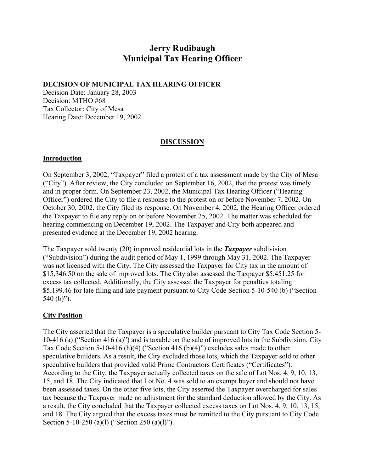# **Jerry Rudibaugh Municipal Tax Hearing Officer**

### **DECISION OF MUNICIPAL TAX HEARING OFFICER**

Decision Date: January 28, 2003 Decision: MTHO #68 Tax Collector: City of Mesa Hearing Date: December 19, 2002

## **DISCUSSION**

### **Introduction**

On September 3, 2002, "Taxpayer" filed a protest of a tax assessment made by the City of Mesa ("City"). After review, the City concluded on September 16, 2002, that the protest was timely and in proper form. On September 23, 2002, the Municipal Tax Hearing Officer ("Hearing Officer") ordered the City to file a response to the protest on or before November 7, 2002. On October 30, 2002, the City filed its response. On November 4, 2002, the Hearing Officer ordered the Taxpayer to file any reply on or before November 25, 2002. The matter was scheduled for hearing commencing on December 19, 2002. The Taxpayer and City both appeared and presented evidence at the December 19, 2002 hearing.

The Taxpayer sold twenty (20) improved residential lots in the *Taxpayer* subdivision ("Subdivision") during the audit period of May 1, 1999 through May 31, 2002. The Taxpayer was not licensed with the City. The City assessed the Taxpayer for City tax in the amount of \$15,346.50 on the sale of improved lots. The City also assessed the Taxpayer \$5,451.25 for excess tax collected. Additionally, the City assessed the Taxpayer for penalties totaling \$5,199.46 for late filing and late payment pursuant to City Code Section 5-10-540 (b) ("Section 540 (b)").

## **City Position**

The City asserted that the Taxpayer is a speculative builder pursuant to City Tax Code Section 5- 10-416 (a) ("Section 416 (a)") and is taxable on the sale of improved lots in the Subdivision. City Tax Code Section 5-10-416 (h)(4) ("Section 416 (b)(4)") excludes sales made to other speculative builders. As a result, the City excluded those lots, which the Taxpayer sold to other speculative builders that provided valid Prime Contractors Certificates ("Certificates"). According to the City, the Taxpayer actually collected taxes on the sale of Lot Nos. 4, 9, 10, 13, 15, and 18. The City indicated that Lot No. 4 was sold to an exempt buyer and should not have been assessed taxes. On the other five lots, the City asserted the Taxpayer overcharged for sales tax because the Taxpayer made no adjustment for the standard deduction allowed by the City. As a result, the City concluded that the Taxpayer collected excess taxes on Lot Nos. 4, 9, 10, 13, 15, and 18. The City argued that the excess taxes must be remitted to the City pursuant to City Code Section 5-10-250 (a)(l) ("Section 250 (a)(l)").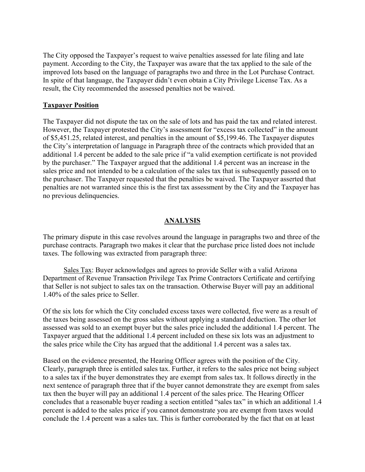The City opposed the Taxpayer's request to waive penalties assessed for late filing and late payment. According to the City, the Taxpayer was aware that the tax applied to the sale of the improved lots based on the language of paragraphs two and three in the Lot Purchase Contract. In spite of that language, the Taxpayer didn't even obtain a City Privilege License Tax. As a result, the City recommended the assessed penalties not be waived.

### **Taxpayer Position**

The Taxpayer did not dispute the tax on the sale of lots and has paid the tax and related interest. However, the Taxpayer protested the City's assessment for "excess tax collected" in the amount of \$5,451.25, related interest, and penalties in the amount of \$5,199.46. The Taxpayer disputes the City's interpretation of language in Paragraph three of the contracts which provided that an additional 1.4 percent be added to the sale price if "a valid exemption certificate is not provided by the purchaser." The Taxpayer argued that the additional 1.4 percent was an increase in the sales price and not intended to be a calculation of the sales tax that is subsequently passed on to the purchaser. The Taxpayer requested that the penalties be waived. The Taxpayer asserted that penalties are not warranted since this is the first tax assessment by the City and the Taxpayer has no previous delinquencies.

### **ANALYSIS**

The primary dispute in this case revolves around the language in paragraphs two and three of the purchase contracts. Paragraph two makes it clear that the purchase price listed does not include taxes. The following was extracted from paragraph three:

Sales Tax: Buyer acknowledges and agrees to provide Seller with a valid Arizona Department of Revenue Transaction Privilege Tax Prime Contractors Certificate and certifying that Seller is not subject to sales tax on the transaction. Otherwise Buyer will pay an additional 1.40% of the sales price to Seller.

Of the six lots for which the City concluded excess taxes were collected, five were as a result of the taxes being assessed on the gross sales without applying a standard deduction. The other lot assessed was sold to an exempt buyer but the sales price included the additional 1.4 percent. The Taxpayer argued that the additional 1.4 percent included on these six lots was an adjustment to the sales price while the City has argued that the additional 1.4 percent was a sales tax.

Based on the evidence presented, the Hearing Officer agrees with the position of the City. Clearly, paragraph three is entitled sales tax. Further, it refers to the sales price not being subject to a sales tax if the buyer demonstrates they are exempt from sales tax. It follows directly in the next sentence of paragraph three that if the buyer cannot demonstrate they are exempt from sales tax then the buyer will pay an additional 1.4 percent of the sales price. The Hearing Officer concludes that a reasonable buyer reading a section entitled "sales tax" in which an additional 1.4 percent is added to the sales price if you cannot demonstrate you are exempt from taxes would conclude the 1.4 percent was a sales tax. This is further corroborated by the fact that on at least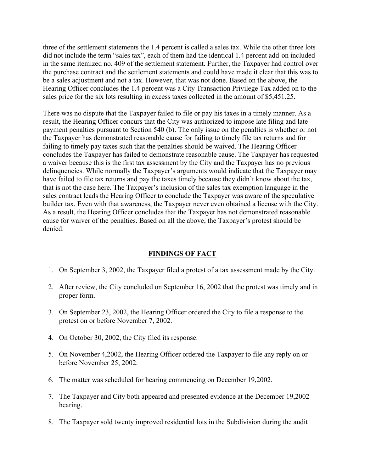three of the settlement statements the 1.4 percent is called a sales tax. While the other three lots did not include the term "sales tax", each of them had the identical 1.4 percent add-on included in the same itemized no. 409 of the settlement statement. Further, the Taxpayer had control over the purchase contract and the settlement statements and could have made it clear that this was to be a sales adjustment and not a tax. However, that was not done. Based on the above, the Hearing Officer concludes the 1.4 percent was a City Transaction Privilege Tax added on to the sales price for the six lots resulting in excess taxes collected in the amount of \$5,451.25.

There was no dispute that the Taxpayer failed to file or pay his taxes in a timely manner. As a result, the Hearing Officer concurs that the City was authorized to impose late filing and late payment penalties pursuant to Section 540 (b). The only issue on the penalties is whether or not the Taxpayer has demonstrated reasonable cause for failing to timely file tax returns and for failing to timely pay taxes such that the penalties should be waived. The Hearing Officer concludes the Taxpayer has failed to demonstrate reasonable cause. The Taxpayer has requested a waiver because this is the first tax assessment by the City and the Taxpayer has no previous delinquencies. While normally the Taxpayer's arguments would indicate that the Taxpayer may have failed to file tax returns and pay the taxes timely because they didn't know about the tax, that is not the case here. The Taxpayer's inclusion of the sales tax exemption language in the sales contract leads the Hearing Officer to conclude the Taxpayer was aware of the speculative builder tax. Even with that awareness, the Taxpayer never even obtained a license with the City. As a result, the Hearing Officer concludes that the Taxpayer has not demonstrated reasonable cause for waiver of the penalties. Based on all the above, the Taxpayer's protest should be denied.

## **FINDINGS OF FACT**

- 1. On September 3, 2002, the Taxpayer filed a protest of a tax assessment made by the City.
- 2. After review, the City concluded on September 16, 2002 that the protest was timely and in proper form.
- 3. On September 23, 2002, the Hearing Officer ordered the City to file a response to the protest on or before November 7, 2002.
- 4. On October 30, 2002, the City filed its response.
- 5. On November 4,2002, the Hearing Officer ordered the Taxpayer to file any reply on or before November 25, 2002.
- 6. The matter was scheduled for hearing commencing on December 19,2002.
- 7. The Taxpayer and City both appeared and presented evidence at the December 19,2002 hearing.
- 8. The Taxpayer sold twenty improved residential lots in the Subdivision during the audit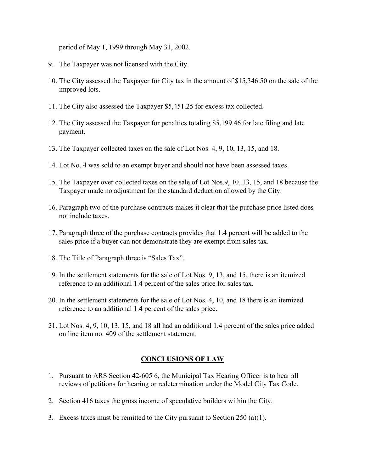period of May 1, 1999 through May 31, 2002.

- 9. The Taxpayer was not licensed with the City.
- 10. The City assessed the Taxpayer for City tax in the amount of \$15,346.50 on the sale of the improved lots.
- 11. The City also assessed the Taxpayer \$5,451.25 for excess tax collected.
- 12. The City assessed the Taxpayer for penalties totaling \$5,199.46 for late filing and late payment.
- 13. The Taxpayer collected taxes on the sale of Lot Nos. 4, 9, 10, 13, 15, and 18.
- 14. Lot No. 4 was sold to an exempt buyer and should not have been assessed taxes.
- 15. The Taxpayer over collected taxes on the sale of Lot Nos.9, 10, 13, 15, and 18 because the Taxpayer made no adjustment for the standard deduction allowed by the City.
- 16. Paragraph two of the purchase contracts makes it clear that the purchase price listed does not include taxes.
- 17. Paragraph three of the purchase contracts provides that 1.4 percent will be added to the sales price if a buyer can not demonstrate they are exempt from sales tax.
- 18. The Title of Paragraph three is "Sales Tax".
- 19. In the settlement statements for the sale of Lot Nos. 9, 13, and 15, there is an itemized reference to an additional 1.4 percent of the sales price for sales tax.
- 20. In the settlement statements for the sale of Lot Nos. 4, 10, and 18 there is an itemized reference to an additional 1.4 percent of the sales price.
- 21. Lot Nos. 4, 9, 10, 13, 15, and 18 all had an additional 1.4 percent of the sales price added on line item no. 409 of the settlement statement.

#### **CONCLUSIONS OF LAW**

- 1. Pursuant to ARS Section 42-605 6, the Municipal Tax Hearing Officer is to hear all reviews of petitions for hearing or redetermination under the Model City Tax Code.
- 2. Section 416 taxes the gross income of speculative builders within the City.
- 3. Excess taxes must be remitted to the City pursuant to Section 250 (a)(1).